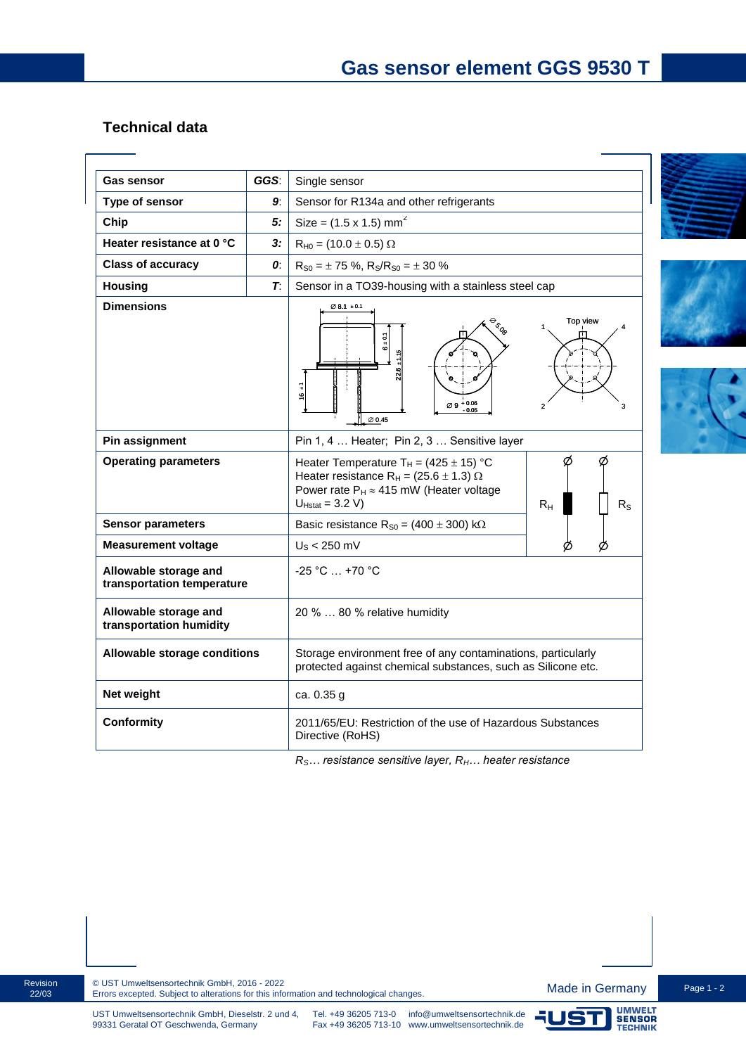## **Technical data**

| <b>Gas sensor</b>                                   | GGS:        | Single sensor                                                                                                                                                                                                                  |  |
|-----------------------------------------------------|-------------|--------------------------------------------------------------------------------------------------------------------------------------------------------------------------------------------------------------------------------|--|
| Type of sensor                                      | 9.          | Sensor for R134a and other refrigerants                                                                                                                                                                                        |  |
| Chip                                                | 5:          | Size = $(1.5 \times 1.5)$ mm <sup>2</sup>                                                                                                                                                                                      |  |
| Heater resistance at 0 °C                           | 3:          | $R_{H0} = (10.0 \pm 0.5) \Omega$                                                                                                                                                                                               |  |
| <b>Class of accuracy</b>                            | 0:          | $R_{S0} = \pm 75$ %, $R_S/R_{S0} = \pm 30$ %                                                                                                                                                                                   |  |
| <b>Housing</b>                                      | $T_{\cdot}$ | Sensor in a TO39-housing with a stainless steel cap                                                                                                                                                                            |  |
| <b>Dimensions</b>                                   |             | $\emptyset$ 8.1 $\pm$ 0.1<br>Top view<br><b>BISCO</b><br>$6 + 0.1$<br>$\frac{1}{11}$<br>é<br>$\varnothing 9$ + 0.06<br>$\varnothing$ 0.45                                                                                      |  |
| Pin assignment                                      |             | Pin 1, 4  Heater; Pin 2, 3  Sensitive layer                                                                                                                                                                                    |  |
| <b>Operating parameters</b>                         |             | Heater Temperature T <sub>H</sub> = $(425 \pm 15)$ °C<br>Ø<br>Heater resistance R <sub>H</sub> = (25.6 $\pm$ 1.3) $\Omega$<br>Power rate $P_H \approx 415$ mW (Heater voltage<br>$U_{Hstat} = 3.2 V$<br>$R_{H}$<br>$R_{\rm S}$ |  |
| <b>Sensor parameters</b>                            |             | Basic resistance $R_{S0} = (400 \pm 300) \text{ k}\Omega$                                                                                                                                                                      |  |
| <b>Measurement voltage</b>                          |             | $US < 250$ mV<br>Ø                                                                                                                                                                                                             |  |
| Allowable storage and<br>transportation temperature |             | -25 °C  +70 °C                                                                                                                                                                                                                 |  |
| Allowable storage and<br>transportation humidity    |             | 20 %  80 % relative humidity                                                                                                                                                                                                   |  |
| Allowable storage conditions                        |             | Storage environment free of any contaminations, particularly<br>protected against chemical substances, such as Silicone etc.                                                                                                   |  |
| Net weight                                          |             | ca. 0.35 g                                                                                                                                                                                                                     |  |
| <b>Conformity</b>                                   |             | 2011/65/EU: Restriction of the use of Hazardous Substances<br>Directive (RoHS)                                                                                                                                                 |  |

*RS… resistance sensitive layer, RH… heater resistance*



ī.







99331 Geratal OT Geschwenda, Germany